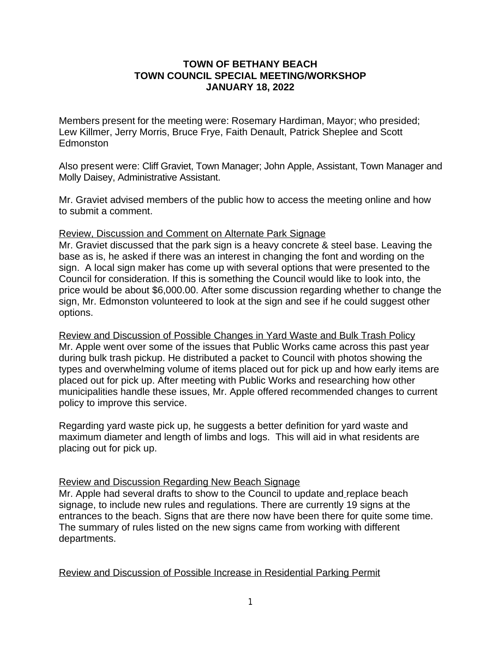## **TOWN OF BETHANY BEACH TOWN COUNCIL SPECIAL MEETING/WORKSHOP JANUARY 18, 2022**

Members present for the meeting were: Rosemary Hardiman, Mayor; who presided; Lew Killmer, Jerry Morris, Bruce Frye, Faith Denault, Patrick Sheplee and Scott Edmonston

Also present were: Cliff Graviet, Town Manager; John Apple, Assistant, Town Manager and Molly Daisey, Administrative Assistant.

Mr. Graviet advised members of the public how to access the meeting online and how to submit a comment.

## Review, Discussion and Comment on Alternate Park Signage

Mr. Graviet discussed that the park sign is a heavy concrete & steel base. Leaving the base as is, he asked if there was an interest in changing the font and wording on the sign. A local sign maker has come up with several options that were presented to the Council for consideration. If this is something the Council would like to look into, the price would be about \$6,000.00. After some discussion regarding whether to change the sign, Mr. Edmonston volunteered to look at the sign and see if he could suggest other options.

Review and Discussion of Possible Changes in Yard Waste and Bulk Trash Policy Mr. Apple went over some of the issues that Public Works came across this past year during bulk trash pickup. He distributed a packet to Council with photos showing the types and overwhelming volume of items placed out for pick up and how early items are placed out for pick up. After meeting with Public Works and researching how other municipalities handle these issues, Mr. Apple offered recommended changes to current policy to improve this service.

Regarding yard waste pick up, he suggests a better definition for yard waste and maximum diameter and length of limbs and logs. This will aid in what residents are placing out for pick up.

## Review and Discussion Regarding New Beach Signage

Mr. Apple had several drafts to show to the Council to update and replace beach signage, to include new rules and regulations. There are currently 19 signs at the entrances to the beach. Signs that are there now have been there for quite some time. The summary of rules listed on the new signs came from working with different departments.

Review and Discussion of Possible Increase in Residential Parking Permit